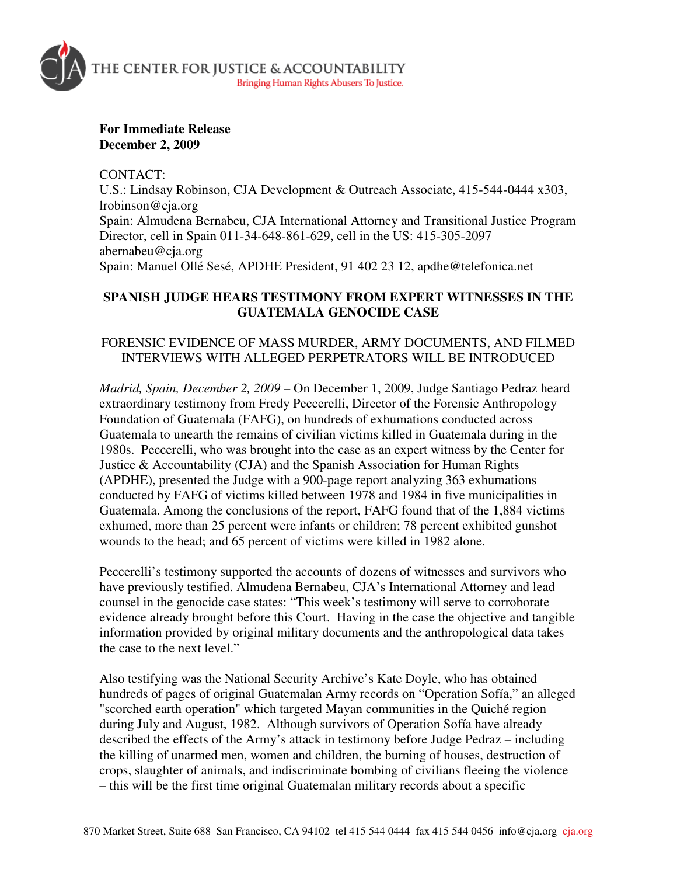

**For Immediate Release December 2, 2009** 

CONTACT:

U.S.: Lindsay Robinson, CJA Development & Outreach Associate, 415-544-0444 x303, lrobinson@cja.org Spain: Almudena Bernabeu, CJA International Attorney and Transitional Justice Program Director, cell in Spain 011-34-648-861-629, cell in the US: 415-305-2097 abernabeu@cja.org Spain: Manuel Ollé Sesé, APDHE President, 91 402 23 12, apdhe@telefonica.net

## **SPANISH JUDGE HEARS TESTIMONY FROM EXPERT WITNESSES IN THE GUATEMALA GENOCIDE CASE**

## FORENSIC EVIDENCE OF MASS MURDER, ARMY DOCUMENTS, AND FILMED INTERVIEWS WITH ALLEGED PERPETRATORS WILL BE INTRODUCED

*Madrid, Spain, December 2, 2009* – On December 1, 2009, Judge Santiago Pedraz heard extraordinary testimony from Fredy Peccerelli, Director of the Forensic Anthropology Foundation of Guatemala (FAFG), on hundreds of exhumations conducted across Guatemala to unearth the remains of civilian victims killed in Guatemala during in the 1980s. Peccerelli, who was brought into the case as an expert witness by the Center for Justice & Accountability (CJA) and the Spanish Association for Human Rights (APDHE), presented the Judge with a 900-page report analyzing 363 exhumations conducted by FAFG of victims killed between 1978 and 1984 in five municipalities in Guatemala. Among the conclusions of the report, FAFG found that of the 1,884 victims exhumed, more than 25 percent were infants or children; 78 percent exhibited gunshot wounds to the head; and 65 percent of victims were killed in 1982 alone.

Peccerelli's testimony supported the accounts of dozens of witnesses and survivors who have previously testified. Almudena Bernabeu, CJA's International Attorney and lead counsel in the genocide case states: "This week's testimony will serve to corroborate evidence already brought before this Court. Having in the case the objective and tangible information provided by original military documents and the anthropological data takes the case to the next level."

Also testifying was the National Security Archive's Kate Doyle, who has obtained hundreds of pages of original Guatemalan Army records on "Operation Sofía," an alleged "scorched earth operation" which targeted Mayan communities in the Quiché region during July and August, 1982. Although survivors of Operation Sofía have already described the effects of the Army's attack in testimony before Judge Pedraz – including the killing of unarmed men, women and children, the burning of houses, destruction of crops, slaughter of animals, and indiscriminate bombing of civilians fleeing the violence – this will be the first time original Guatemalan military records about a specific